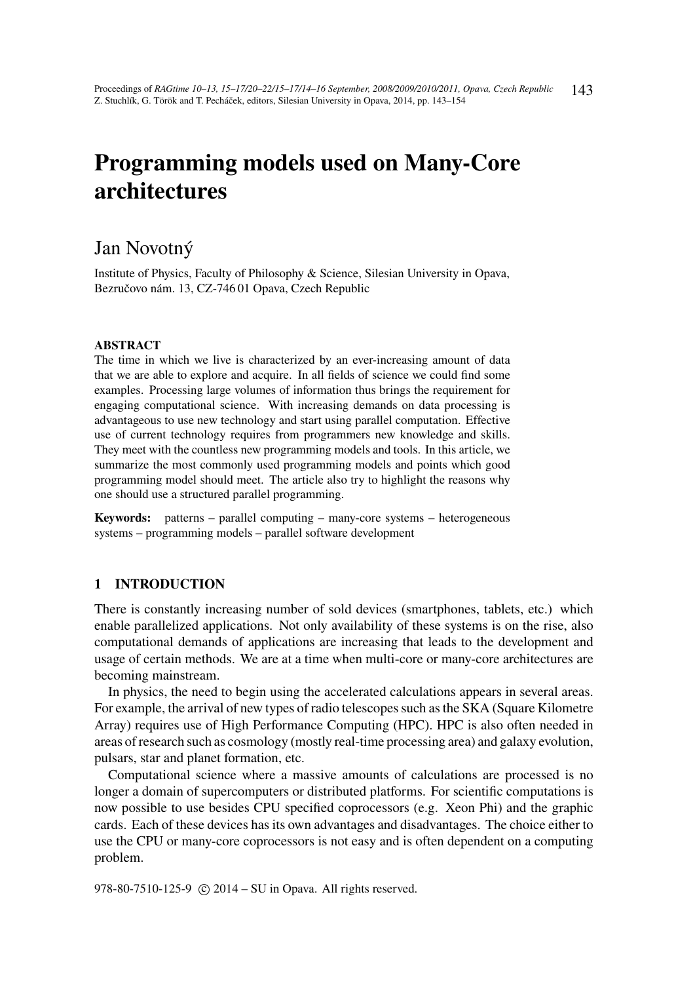# Programming models used on Many-Core architectures

# Jan Novotný

Institute of Physics, Faculty of Philosophy & Science, Silesian University in Opava, Bezručovo nám. 13, CZ-746 01 Opava, Czech Republic

#### ABSTRACT

The time in which we live is characterized by an ever-increasing amount of data that we are able to explore and acquire. In all fields of science we could find some examples. Processing large volumes of information thus brings the requirement for engaging computational science. With increasing demands on data processing is advantageous to use new technology and start using parallel computation. Effective use of current technology requires from programmers new knowledge and skills. They meet with the countless new programming models and tools. In this article, we summarize the most commonly used programming models and points which good programming model should meet. The article also try to highlight the reasons why one should use a structured parallel programming.

Keywords: patterns – parallel computing – many-core systems – heterogeneous systems – programming models – parallel software development

# 1 INTRODUCTION

There is constantly increasing number of sold devices (smartphones, tablets, etc.) which enable parallelized applications. Not only availability of these systems is on the rise, also computational demands of applications are increasing that leads to the development and usage of certain methods. We are at a time when multi-core or many-core architectures are becoming mainstream.

In physics, the need to begin using the accelerated calculations appears in several areas. For example, the arrival of new types of radio telescopes such as the SKA (Square Kilometre Array) requires use of High Performance Computing (HPC). HPC is also often needed in areas of research such as cosmology (mostly real-time processing area) and galaxy evolution, pulsars, star and planet formation, etc.

Computational science where a massive amounts of calculations are processed is no longer a domain of supercomputers or distributed platforms. For scientific computations is now possible to use besides CPU specified coprocessors (e.g. Xeon Phi) and the graphic cards. Each of these devices has its own advantages and disadvantages. The choice either to use the CPU or many-core coprocessors is not easy and is often dependent on a computing problem.

978-80-7510-125-9 (c) 2014 – SU in Opava. All rights reserved.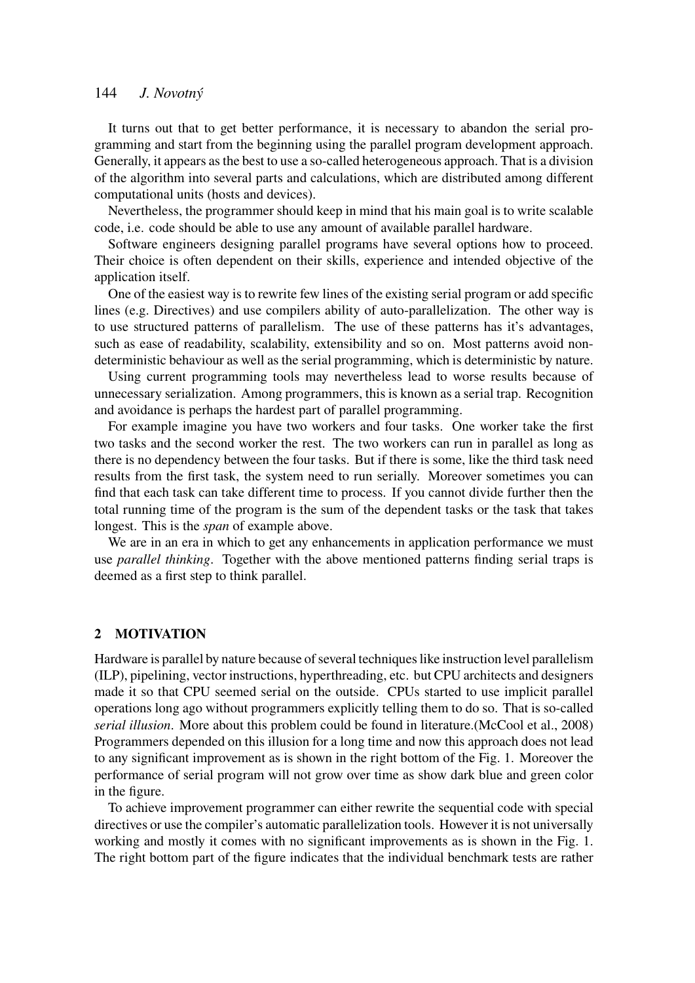It turns out that to get better performance, it is necessary to abandon the serial programming and start from the beginning using the parallel program development approach. Generally, it appears as the best to use a so-called heterogeneous approach. That is a division of the algorithm into several parts and calculations, which are distributed among different computational units (hosts and devices).

Nevertheless, the programmer should keep in mind that his main goal is to write scalable code, i.e. code should be able to use any amount of available parallel hardware.

Software engineers designing parallel programs have several options how to proceed. Their choice is often dependent on their skills, experience and intended objective of the application itself.

One of the easiest way is to rewrite few lines of the existing serial program or add specific lines (e.g. Directives) and use compilers ability of auto-parallelization. The other way is to use structured patterns of parallelism. The use of these patterns has it's advantages, such as ease of readability, scalability, extensibility and so on. Most patterns avoid nondeterministic behaviour as well as the serial programming, which is deterministic by nature.

Using current programming tools may nevertheless lead to worse results because of unnecessary serialization. Among programmers, this is known as a serial trap. Recognition and avoidance is perhaps the hardest part of parallel programming.

For example imagine you have two workers and four tasks. One worker take the first two tasks and the second worker the rest. The two workers can run in parallel as long as there is no dependency between the four tasks. But if there is some, like the third task need results from the first task, the system need to run serially. Moreover sometimes you can find that each task can take different time to process. If you cannot divide further then the total running time of the program is the sum of the dependent tasks or the task that takes longest. This is the *span* of example above.

We are in an era in which to get any enhancements in application performance we must use *parallel thinking*. Together with the above mentioned patterns finding serial traps is deemed as a first step to think parallel.

#### 2 MOTIVATION

Hardware is parallel by nature because of several techniques like instruction level parallelism (ILP), pipelining, vector instructions, hyperthreading, etc. but CPU architects and designers made it so that CPU seemed serial on the outside. CPUs started to use implicit parallel operations long ago without programmers explicitly telling them to do so. That is so-called *serial illusion*. More about this problem could be found in literature.(McCool et al., 2008) Programmers depended on this illusion for a long time and now this approach does not lead to any significant improvement as is shown in the right bottom of the Fig. 1. Moreover the performance of serial program will not grow over time as show dark blue and green color in the figure.

To achieve improvement programmer can either rewrite the sequential code with special directives or use the compiler's automatic parallelization tools. However it is not universally working and mostly it comes with no significant improvements as is shown in the Fig. 1. The right bottom part of the figure indicates that the individual benchmark tests are rather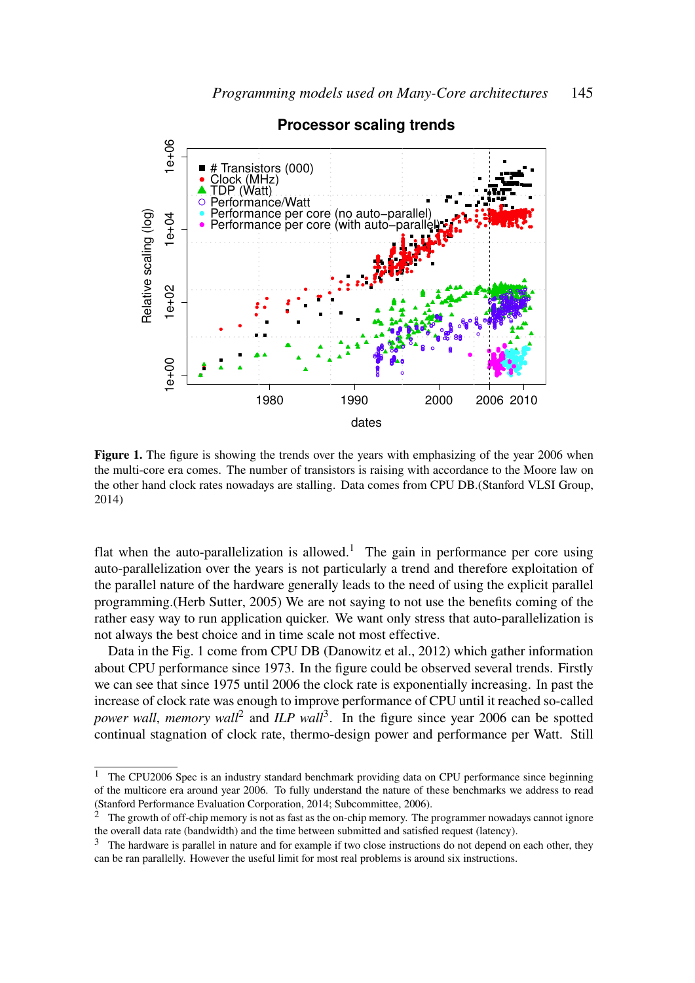

**Processor scaling trends**

Figure 1. The figure is showing the trends over the years with emphasizing of the year 2006 when the multi-core era comes. The number of transistors is raising with accordance to the Moore law on the other hand clock rates nowadays are stalling. Data comes from CPU DB.(Stanford VLSI Group, 2014)

flat when the auto-parallelization is allowed.<sup>1</sup> The gain in performance per core using auto-parallelization over the years is not particularly a trend and therefore exploitation of the parallel nature of the hardware generally leads to the need of using the explicit parallel programming.(Herb Sutter, 2005) We are not saying to not use the benefits coming of the rather easy way to run application quicker. We want only stress that auto-parallelization is not always the best choice and in time scale not most effective.

Data in the Fig. 1 come from CPU DB (Danowitz et al., 2012) which gather information about CPU performance since 1973. In the figure could be observed several trends. Firstly we can see that since 1975 until 2006 the clock rate is exponentially increasing. In past the increase of clock rate was enough to improve performance of CPU until it reached so-called power wall, memory wall<sup>2</sup> and *ILP wall*<sup>3</sup>. In the figure since year 2006 can be spotted continual stagnation of clock rate, thermo-design power and performance per Watt. Still

<sup>&</sup>lt;sup>1</sup> The CPU2006 Spec is an industry standard benchmark providing data on CPU performance since beginning of the multicore era around year 2006. To fully understand the nature of these benchmarks we address to read (Stanford Performance Evaluation Corporation, 2014; Subcommittee, 2006).

<sup>&</sup>lt;sup>2</sup> The growth of off-chip memory is not as fast as the on-chip memory. The programmer nowadays cannot ignore the overall data rate (bandwidth) and the time between submitted and satisfied request (latency).

<sup>&</sup>lt;sup>3</sup> The hardware is parallel in nature and for example if two close instructions do not depend on each other, they can be ran parallelly. However the useful limit for most real problems is around six instructions.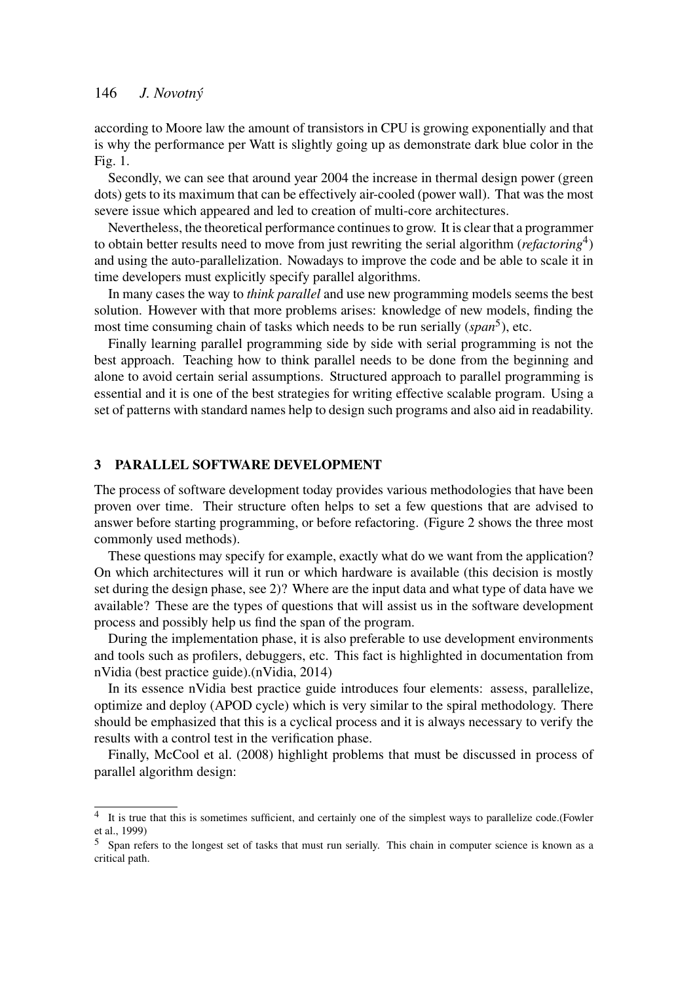according to Moore law the amount of transistors in CPU is growing exponentially and that is why the performance per Watt is slightly going up as demonstrate dark blue color in the Fig. 1.

Secondly, we can see that around year 2004 the increase in thermal design power (green dots) gets to its maximum that can be effectively air-cooled (power wall). That was the most severe issue which appeared and led to creation of multi-core architectures.

Nevertheless, the theoretical performance continues to grow. It is clear that a programmer to obtain better results need to move from just rewriting the serial algorithm (*refactoring*<sup>4</sup>) and using the auto-parallelization. Nowadays to improve the code and be able to scale it in time developers must explicitly specify parallel algorithms.

In many cases the way to *think parallel* and use new programming models seems the best solution. However with that more problems arises: knowledge of new models, finding the most time consuming chain of tasks which needs to be run serially (*span*<sup>5</sup> ), etc.

Finally learning parallel programming side by side with serial programming is not the best approach. Teaching how to think parallel needs to be done from the beginning and alone to avoid certain serial assumptions. Structured approach to parallel programming is essential and it is one of the best strategies for writing effective scalable program. Using a set of patterns with standard names help to design such programs and also aid in readability.

# 3 PARALLEL SOFTWARE DEVELOPMENT

The process of software development today provides various methodologies that have been proven over time. Their structure often helps to set a few questions that are advised to answer before starting programming, or before refactoring. (Figure 2 shows the three most commonly used methods).

These questions may specify for example, exactly what do we want from the application? On which architectures will it run or which hardware is available (this decision is mostly set during the design phase, see 2)? Where are the input data and what type of data have we available? These are the types of questions that will assist us in the software development process and possibly help us find the span of the program.

During the implementation phase, it is also preferable to use development environments and tools such as profilers, debuggers, etc. This fact is highlighted in documentation from nVidia (best practice guide).(nVidia, 2014)

In its essence nVidia best practice guide introduces four elements: assess, parallelize, optimize and deploy (APOD cycle) which is very similar to the spiral methodology. There should be emphasized that this is a cyclical process and it is always necessary to verify the results with a control test in the verification phase.

Finally, McCool et al. (2008) highlight problems that must be discussed in process of parallel algorithm design:

<sup>4</sup> It is true that this is sometimes sufficient, and certainly one of the simplest ways to parallelize code.(Fowler et al., 1999)

<sup>5</sup> Span refers to the longest set of tasks that must run serially. This chain in computer science is known as a critical path.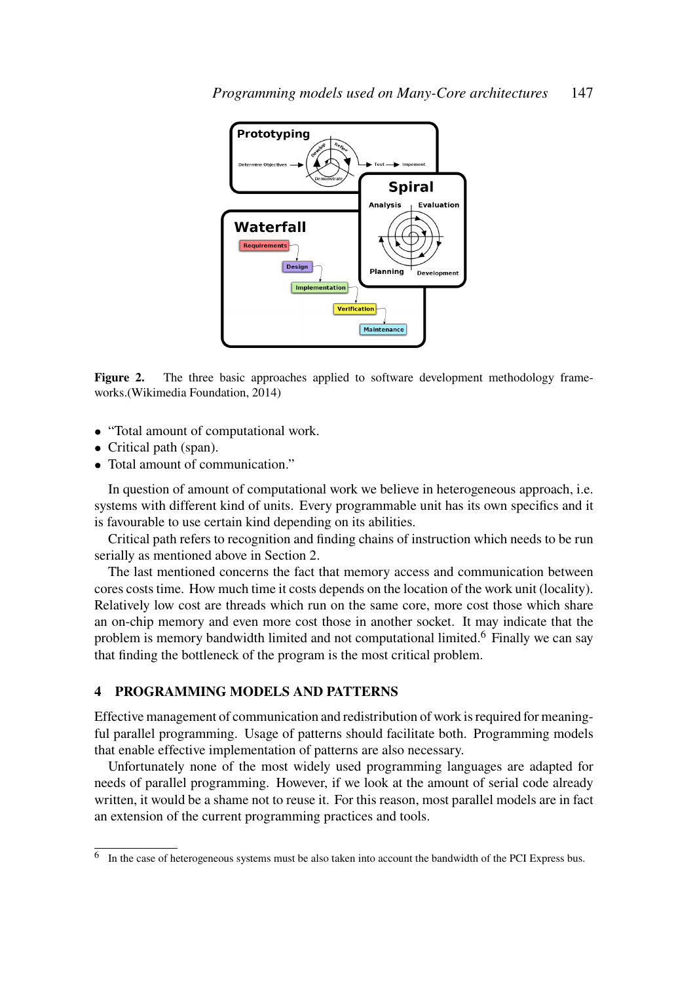

Figure 2. The three basic approaches applied to software development methodology frameworks.(Wikimedia Foundation, 2014)

- "Total amount of computational work.
- Critical path (span).
- Total amount of communication."

In question of amount of computational work we believe in heterogeneous approach, i.e. systems with different kind of units. Every programmable unit has its own specifics and it is favourable to use certain kind depending on its abilities.

Critical path refers to recognition and finding chains of instruction which needs to be run serially as mentioned above in Section 2.

The last mentioned concerns the fact that memory access and communication between cores costs time. How much time it costs depends on the location of the work unit (locality). Relatively low cost are threads which run on the same core, more cost those which share an on-chip memory and even more cost those in another socket. It may indicate that the problem is memory bandwidth limited and not computational limited.<sup>6</sup> Finally we can say that finding the bottleneck of the program is the most critical problem.

# 4 PROGRAMMING MODELS AND PATTERNS

Effective management of communication and redistribution of work is required for meaningful parallel programming. Usage of patterns should facilitate both. Programming models that enable effective implementation of patterns are also necessary.

Unfortunately none of the most widely used programming languages are adapted for needs of parallel programming. However, if we look at the amount of serial code already written, it would be a shame not to reuse it. For this reason, most parallel models are in fact an extension of the current programming practices and tools.

<sup>&</sup>lt;sup>6</sup> In the case of heterogeneous systems must be also taken into account the bandwidth of the PCI Express bus.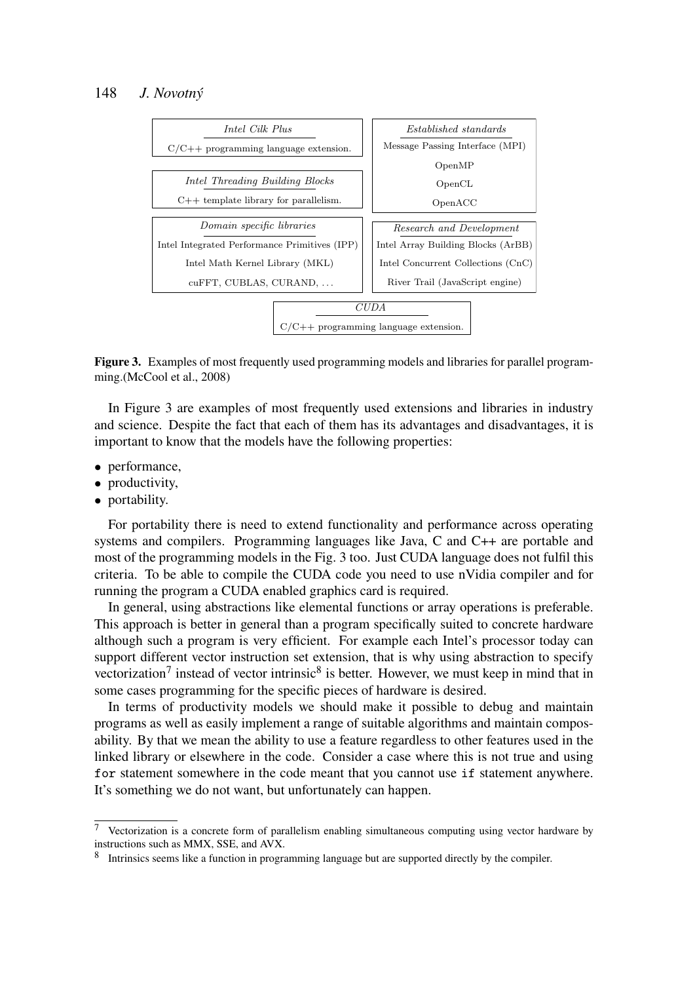

Figure 3. Examples of most frequently used programming models and libraries for parallel programming.(McCool et al., 2008)

In Figure 3 are examples of most frequently used extensions and libraries in industry and science. Despite the fact that each of them has its advantages and disadvantages, it is important to know that the models have the following properties:

- performance,
- productivity,
- portability.

For portability there is need to extend functionality and performance across operating systems and compilers. Programming languages like Java, C and C++ are portable and most of the programming models in the Fig. 3 too. Just CUDA language does not fulfil this criteria. To be able to compile the CUDA code you need to use nVidia compiler and for running the program a CUDA enabled graphics card is required.

In general, using abstractions like elemental functions or array operations is preferable. This approach is better in general than a program specifically suited to concrete hardware although such a program is very efficient. For example each Intel's processor today can support different vector instruction set extension, that is why using abstraction to specify vectorization<sup>7</sup> instead of vector intrinsic<sup>8</sup> is better. However, we must keep in mind that in some cases programming for the specific pieces of hardware is desired.

In terms of productivity models we should make it possible to debug and maintain programs as well as easily implement a range of suitable algorithms and maintain composability. By that we mean the ability to use a feature regardless to other features used in the linked library or elsewhere in the code. Consider a case where this is not true and using for statement somewhere in the code meant that you cannot use if statement anywhere. It's something we do not want, but unfortunately can happen.

<sup>7</sup> Vectorization is a concrete form of parallelism enabling simultaneous computing using vector hardware by instructions such as MMX, SSE, and AVX.

<sup>&</sup>lt;sup>8</sup> Intrinsics seems like a function in programming language but are supported directly by the compiler.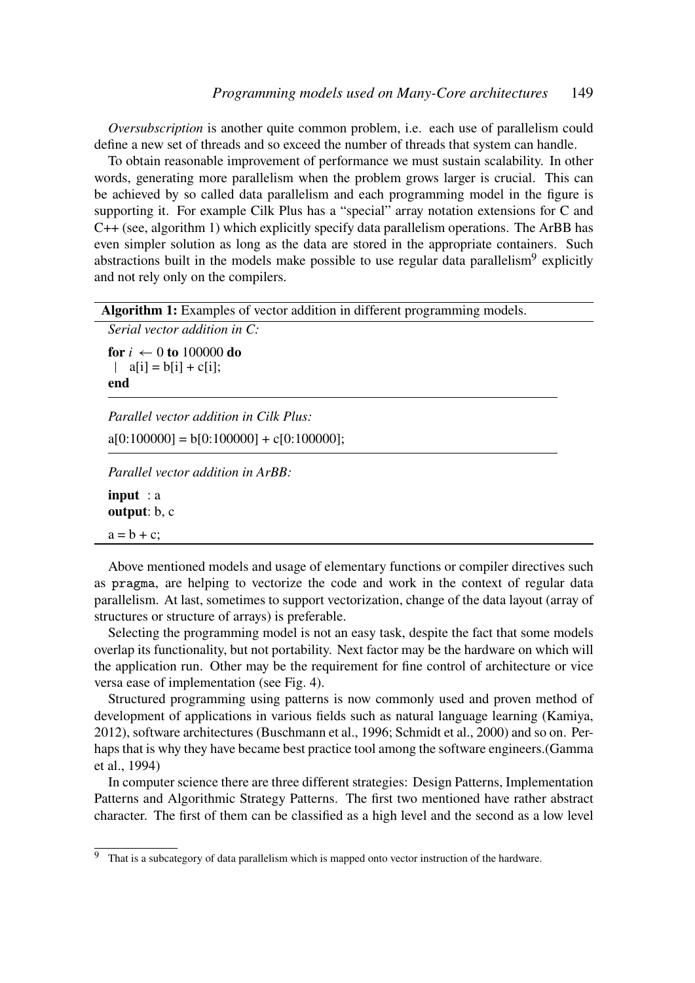*Oversubscription* is another quite common problem, i.e. each use of parallelism could define a new set of threads and so exceed the number of threads that system can handle.

To obtain reasonable improvement of performance we must sustain scalability. In other words, generating more parallelism when the problem grows larger is crucial. This can be achieved by so called data parallelism and each programming model in the figure is supporting it. For example Cilk Plus has a "special" array notation extensions for C and C++ (see, algorithm 1) which explicitly specify data parallelism operations. The ArBB has even simpler solution as long as the data are stored in the appropriate containers. Such abstractions built in the models make possible to use regular data parallelism<sup>9</sup> explicitly and not rely only on the compilers.

Algorithm 1: Examples of vector addition in different programming models.

```
Serial vector addition in C:
for i \leftarrow 0 to 100000 do
 | a[i] = b[i] + c[i];
```
end

*Parallel vector addition in Cilk Plus:*  $a[0:100000] = b[0:100000] + c[0:100000]$ ; *Parallel vector addition in ArBB:* input : a

output: b, c

 $a = b + c$ ;

Above mentioned models and usage of elementary functions or compiler directives such as pragma, are helping to vectorize the code and work in the context of regular data parallelism. At last, sometimes to support vectorization, change of the data layout (array of structures or structure of arrays) is preferable.

Selecting the programming model is not an easy task, despite the fact that some models overlap its functionality, but not portability. Next factor may be the hardware on which will the application run. Other may be the requirement for fine control of architecture or vice versa ease of implementation (see Fig. 4).

Structured programming using patterns is now commonly used and proven method of development of applications in various fields such as natural language learning (Kamiya, 2012), software architectures (Buschmann et al., 1996; Schmidt et al., 2000) and so on. Perhaps that is why they have became best practice tool among the software engineers.(Gamma et al., 1994)

In computer science there are three different strategies: Design Patterns, Implementation Patterns and Algorithmic Strategy Patterns. The first two mentioned have rather abstract character. The first of them can be classified as a high level and the second as a low level

<sup>&</sup>lt;sup>9</sup> That is a subcategory of data parallelism which is mapped onto vector instruction of the hardware.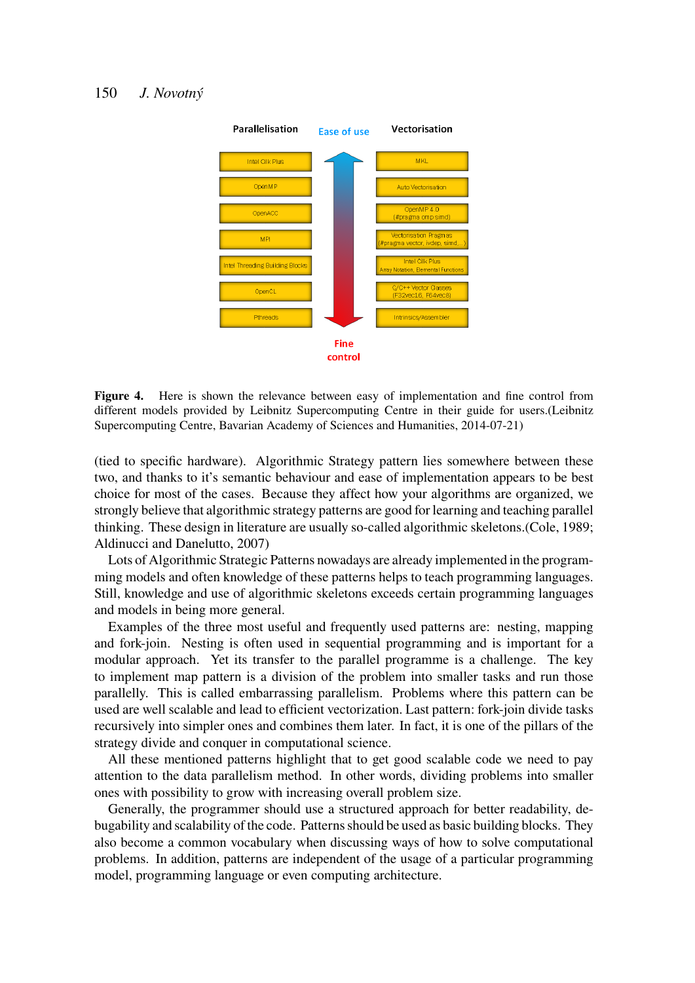

Figure 4. Here is shown the relevance between easy of implementation and fine control from different models provided by Leibnitz Supercomputing Centre in their guide for users.(Leibnitz Supercomputing Centre, Bavarian Academy of Sciences and Humanities, 2014-07-21)

(tied to specific hardware). Algorithmic Strategy pattern lies somewhere between these two, and thanks to it's semantic behaviour and ease of implementation appears to be best choice for most of the cases. Because they affect how your algorithms are organized, we strongly believe that algorithmic strategy patterns are good for learning and teaching parallel thinking. These design in literature are usually so-called algorithmic skeletons.(Cole, 1989; Aldinucci and Danelutto, 2007)

Lots of Algorithmic Strategic Patterns nowadays are already implemented in the programming models and often knowledge of these patterns helps to teach programming languages. Still, knowledge and use of algorithmic skeletons exceeds certain programming languages and models in being more general.

Examples of the three most useful and frequently used patterns are: nesting, mapping and fork-join. Nesting is often used in sequential programming and is important for a modular approach. Yet its transfer to the parallel programme is a challenge. The key to implement map pattern is a division of the problem into smaller tasks and run those parallelly. This is called embarrassing parallelism. Problems where this pattern can be used are well scalable and lead to efficient vectorization. Last pattern: fork-join divide tasks recursively into simpler ones and combines them later. In fact, it is one of the pillars of the strategy divide and conquer in computational science.

All these mentioned patterns highlight that to get good scalable code we need to pay attention to the data parallelism method. In other words, dividing problems into smaller ones with possibility to grow with increasing overall problem size.

Generally, the programmer should use a structured approach for better readability, debugability and scalability of the code. Patterns should be used as basic building blocks. They also become a common vocabulary when discussing ways of how to solve computational problems. In addition, patterns are independent of the usage of a particular programming model, programming language or even computing architecture.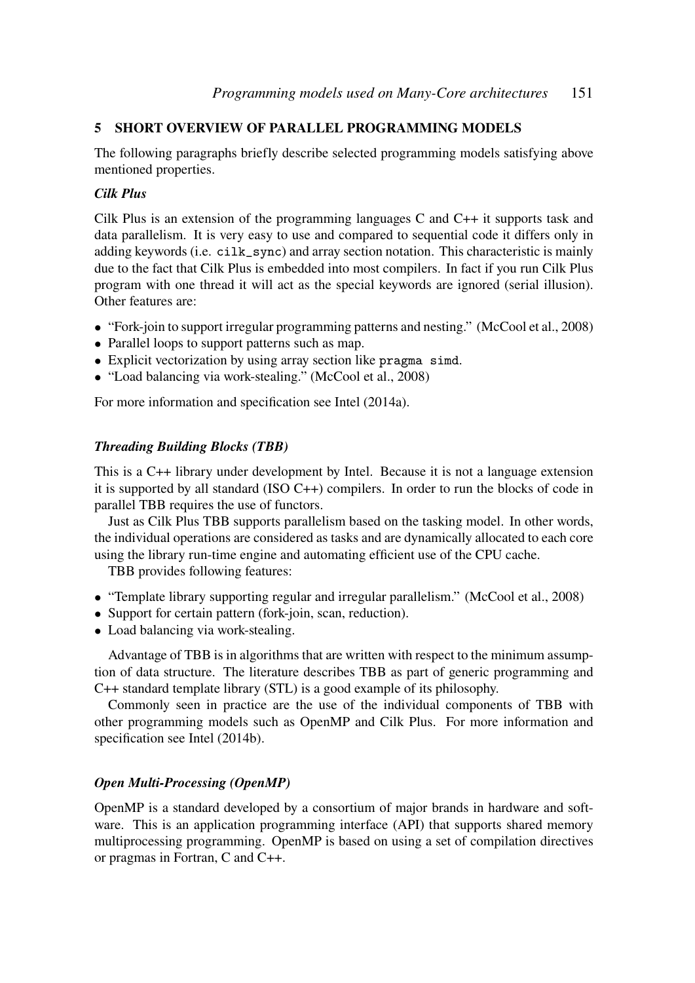# 5 SHORT OVERVIEW OF PARALLEL PROGRAMMING MODELS

The following paragraphs briefly describe selected programming models satisfying above mentioned properties.

### *Cilk Plus*

Cilk Plus is an extension of the programming languages C and C++ it supports task and data parallelism. It is very easy to use and compared to sequential code it differs only in adding keywords (i.e. cilk\_sync) and array section notation. This characteristic is mainly due to the fact that Cilk Plus is embedded into most compilers. In fact if you run Cilk Plus program with one thread it will act as the special keywords are ignored (serial illusion). Other features are:

- "Fork-join to support irregular programming patterns and nesting." (McCool et al., 2008)
- Parallel loops to support patterns such as map.
- Explicit vectorization by using array section like pragma simd.
- "Load balancing via work-stealing." (McCool et al., 2008)

For more information and specification see Intel (2014a).

#### *Threading Building Blocks (TBB)*

This is a C++ library under development by Intel. Because it is not a language extension it is supported by all standard (ISO C++) compilers. In order to run the blocks of code in parallel TBB requires the use of functors.

Just as Cilk Plus TBB supports parallelism based on the tasking model. In other words, the individual operations are considered as tasks and are dynamically allocated to each core using the library run-time engine and automating efficient use of the CPU cache.

TBB provides following features:

- "Template library supporting regular and irregular parallelism." (McCool et al., 2008)
- Support for certain pattern (fork-join, scan, reduction).
- Load balancing via work-stealing.

Advantage of TBB is in algorithms that are written with respect to the minimum assumption of data structure. The literature describes TBB as part of generic programming and C++ standard template library (STL) is a good example of its philosophy.

Commonly seen in practice are the use of the individual components of TBB with other programming models such as OpenMP and Cilk Plus. For more information and specification see Intel (2014b).

#### *Open Multi-Processing (OpenMP)*

OpenMP is a standard developed by a consortium of major brands in hardware and software. This is an application programming interface (API) that supports shared memory multiprocessing programming. OpenMP is based on using a set of compilation directives or pragmas in Fortran, C and C++.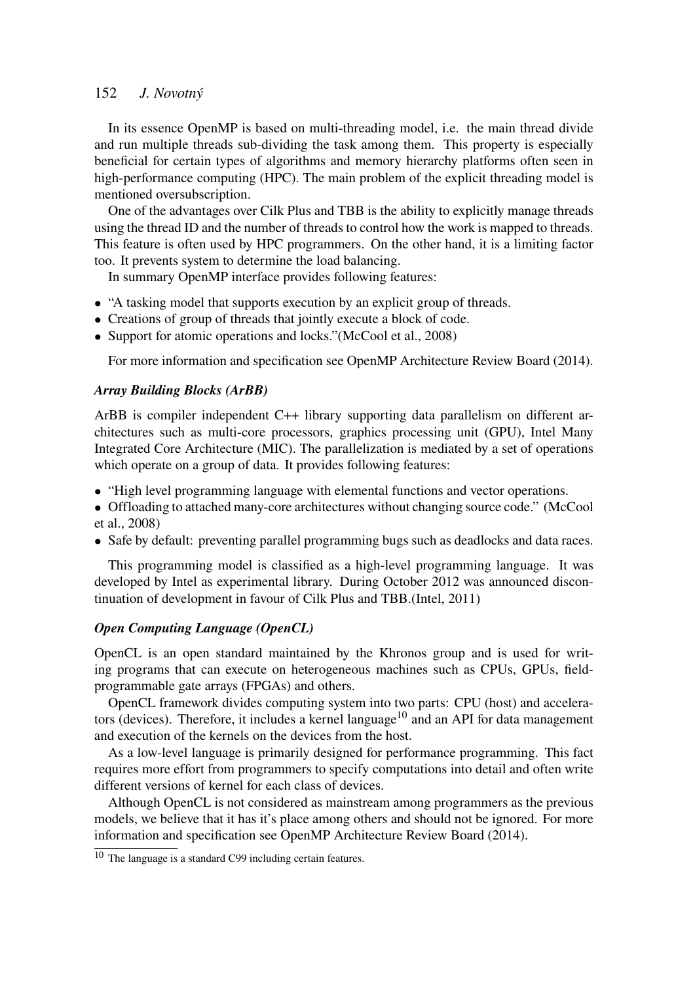In its essence OpenMP is based on multi-threading model, i.e. the main thread divide and run multiple threads sub-dividing the task among them. This property is especially beneficial for certain types of algorithms and memory hierarchy platforms often seen in high-performance computing (HPC). The main problem of the explicit threading model is mentioned oversubscription.

One of the advantages over Cilk Plus and TBB is the ability to explicitly manage threads using the thread ID and the number of threads to control how the work is mapped to threads. This feature is often used by HPC programmers. On the other hand, it is a limiting factor too. It prevents system to determine the load balancing.

In summary OpenMP interface provides following features:

- "A tasking model that supports execution by an explicit group of threads.
- Creations of group of threads that jointly execute a block of code.
- Support for atomic operations and locks."(McCool et al., 2008)

For more information and specification see OpenMP Architecture Review Board (2014).

#### *Array Building Blocks (ArBB)*

ArBB is compiler independent C++ library supporting data parallelism on different architectures such as multi-core processors, graphics processing unit (GPU), Intel Many Integrated Core Architecture (MIC). The parallelization is mediated by a set of operations which operate on a group of data. It provides following features:

- "High level programming language with elemental functions and vector operations.
- Offloading to attached many-core architectures without changing source code." (McCool et al., 2008)
- Safe by default: preventing parallel programming bugs such as deadlocks and data races.

This programming model is classified as a high-level programming language. It was developed by Intel as experimental library. During October 2012 was announced discontinuation of development in favour of Cilk Plus and TBB.(Intel, 2011)

#### *Open Computing Language (OpenCL)*

OpenCL is an open standard maintained by the Khronos group and is used for writing programs that can execute on heterogeneous machines such as CPUs, GPUs, fieldprogrammable gate arrays (FPGAs) and others.

OpenCL framework divides computing system into two parts: CPU (host) and accelerators (devices). Therefore, it includes a kernel language<sup>10</sup> and an API for data management and execution of the kernels on the devices from the host.

As a low-level language is primarily designed for performance programming. This fact requires more effort from programmers to specify computations into detail and often write different versions of kernel for each class of devices.

Although OpenCL is not considered as mainstream among programmers as the previous models, we believe that it has it's place among others and should not be ignored. For more information and specification see OpenMP Architecture Review Board (2014).

<sup>10</sup> The language is a standard C99 including certain features.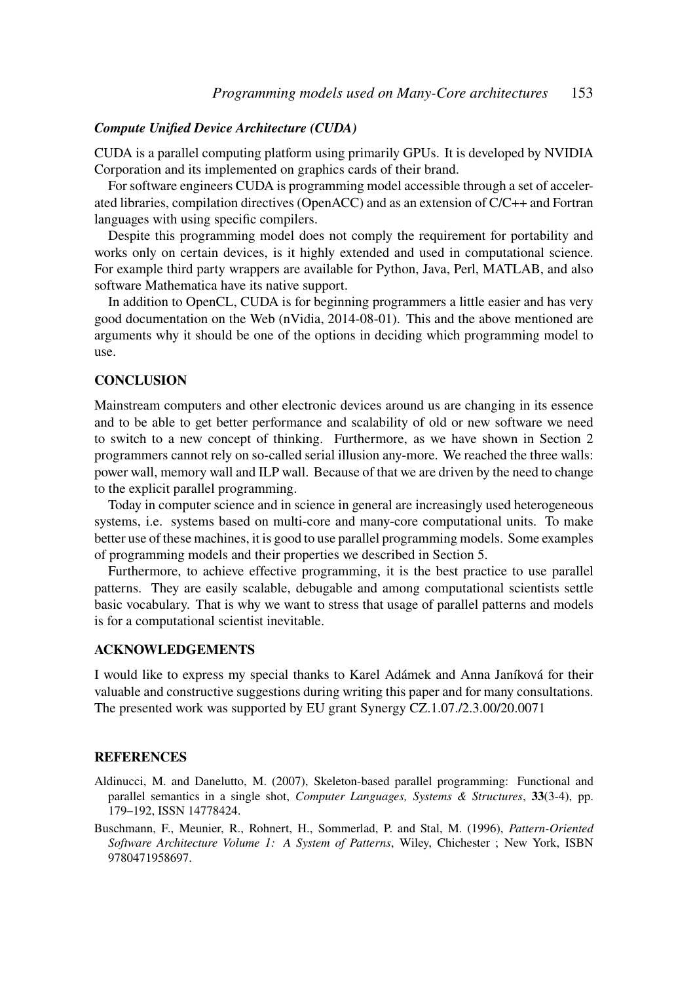#### *Compute Unified Device Architecture (CUDA)*

CUDA is a parallel computing platform using primarily GPUs. It is developed by NVIDIA Corporation and its implemented on graphics cards of their brand.

For software engineers CUDA is programming model accessible through a set of accelerated libraries, compilation directives (OpenACC) and as an extension of C/C++ and Fortran languages with using specific compilers.

Despite this programming model does not comply the requirement for portability and works only on certain devices, is it highly extended and used in computational science. For example third party wrappers are available for Python, Java, Perl, MATLAB, and also software Mathematica have its native support.

In addition to OpenCL, CUDA is for beginning programmers a little easier and has very good documentation on the Web (nVidia, 2014-08-01). This and the above mentioned are arguments why it should be one of the options in deciding which programming model to use.

# **CONCLUSION**

Mainstream computers and other electronic devices around us are changing in its essence and to be able to get better performance and scalability of old or new software we need to switch to a new concept of thinking. Furthermore, as we have shown in Section 2 programmers cannot rely on so-called serial illusion any-more. We reached the three walls: power wall, memory wall and ILP wall. Because of that we are driven by the need to change to the explicit parallel programming.

Today in computer science and in science in general are increasingly used heterogeneous systems, i.e. systems based on multi-core and many-core computational units. To make better use of these machines, it is good to use parallel programming models. Some examples of programming models and their properties we described in Section 5.

Furthermore, to achieve effective programming, it is the best practice to use parallel patterns. They are easily scalable, debugable and among computational scientists settle basic vocabulary. That is why we want to stress that usage of parallel patterns and models is for a computational scientist inevitable.

# ACKNOWLEDGEMENTS

I would like to express my special thanks to Karel Adámek and Anna Janíková for their valuable and constructive suggestions during writing this paper and for many consultations. The presented work was supported by EU grant Synergy CZ.1.07./2.3.00/20.0071

## **REFERENCES**

- Aldinucci, M. and Danelutto, M. (2007), Skeleton-based parallel programming: Functional and parallel semantics in a single shot, *Computer Languages, Systems & Structures*, 33(3-4), pp. 179–192, ISSN 14778424.
- Buschmann, F., Meunier, R., Rohnert, H., Sommerlad, P. and Stal, M. (1996), *Pattern-Oriented Software Architecture Volume 1: A System of Patterns*, Wiley, Chichester ; New York, ISBN 9780471958697.